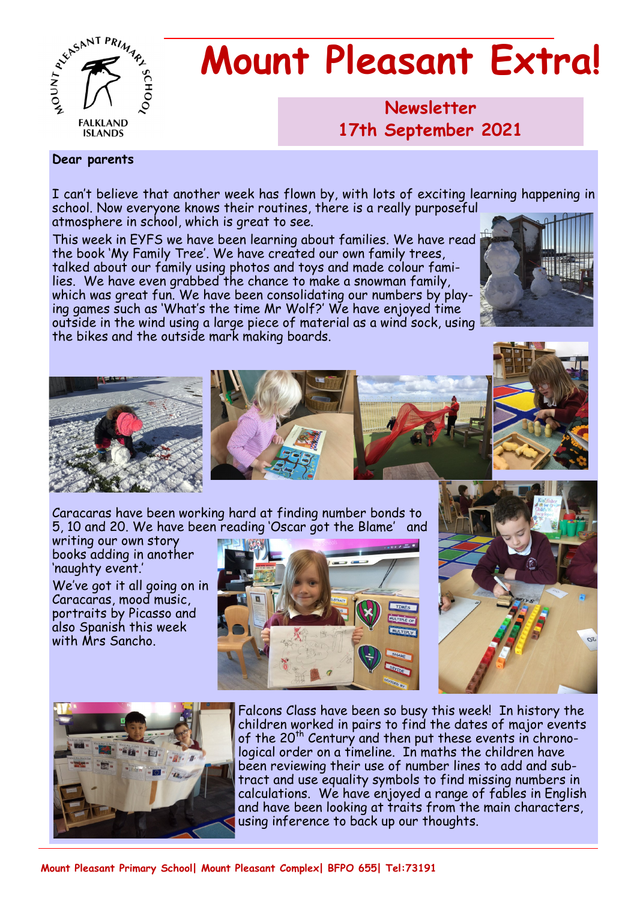

# **Mount Pleasant Extra!**

**Newsletter 1986 17th September 2021**

#### **Dear parents**

I can't believe that another week has flown by, with lots of exciting learning happening in school. Now everyone knows their routines, there is a really purposeful atmosphere in school, which is great to see.

This week in EYFS we have been learning about families. We have read the book 'My Family Tree'. We have created our own family trees, talked about our family using photos and toys and made colour families. We have even grabbed the chance to make a snowman family, which was great fun. We have been consolidating our numbers by playing games such as 'What's the time Mr Wolf?' We have enjoyed time outside in the wind using a large piece of material as a wind sock, using the bikes and the outside mark making boards.







writing our own story books adding in another 'naughty event.'

We've got it all going on in Caracaras, mood music, portraits by Picasso and also Spanish this week with Mrs Sancho.







Falcons Class have been so busy this week! In history the children worked in pairs to find the dates of major events of the 20<sup>th</sup> Century and then put these events in chronological order on a timeline. In maths the children have been reviewing their use of number lines to add and subtract and use equality symbols to find missing numbers in calculations. We have enjoyed a range of fables in English and have been looking at traits from the main characters, using inference to back up our thoughts.